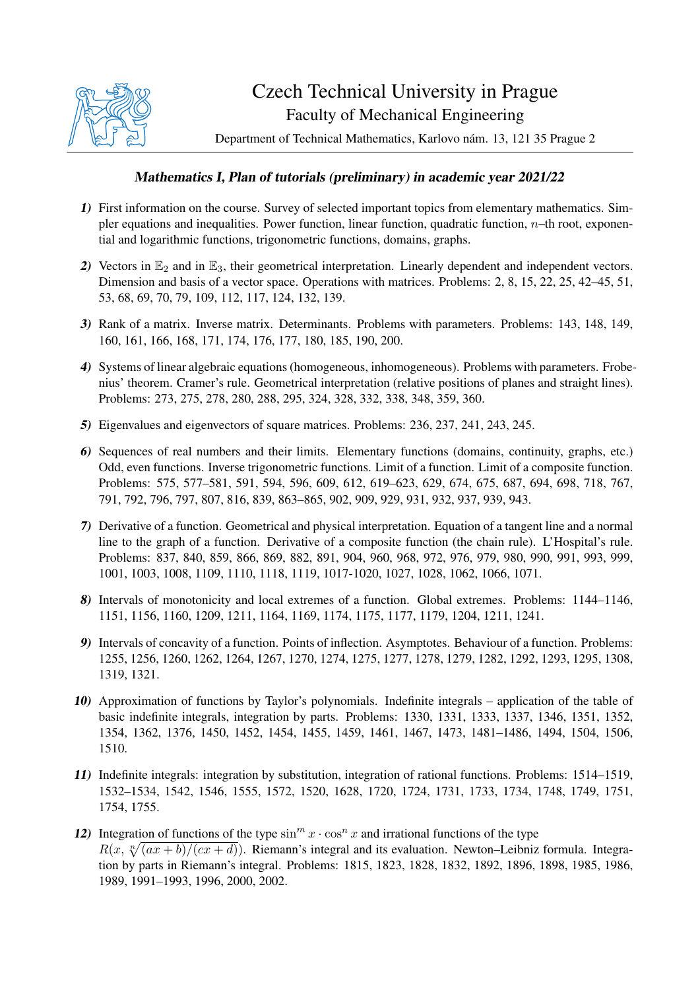

## Czech Technical University in Prague Faculty of Mechanical Engineering

Department of Technical Mathematics, Karlovo nám. 13, 121 35 Prague 2

## Mathematics I, Plan of tutorials (preliminary) in academic year 2021/22

- 1) First information on the course. Survey of selected important topics from elementary mathematics. Simpler equations and inequalities. Power function, linear function, quadratic function,  $n$ –th root, exponential and logarithmic functions, trigonometric functions, domains, graphs.
- 2) Vectors in  $\mathbb{E}_2$  and in  $\mathbb{E}_3$ , their geometrical interpretation. Linearly dependent and independent vectors. Dimension and basis of a vector space. Operations with matrices. Problems: 2, 8, 15, 22, 25, 42–45, 51, 53, 68, 69, 70, 79, 109, 112, 117, 124, 132, 139.
- 3) Rank of a matrix. Inverse matrix. Determinants. Problems with parameters. Problems: 143, 148, 149, 160, 161, 166, 168, 171, 174, 176, 177, 180, 185, 190, 200.
- 4) Systems of linear algebraic equations (homogeneous, inhomogeneous). Problems with parameters. Frobenius' theorem. Cramer's rule. Geometrical interpretation (relative positions of planes and straight lines). Problems: 273, 275, 278, 280, 288, 295, 324, 328, 332, 338, 348, 359, 360.
- 5) Eigenvalues and eigenvectors of square matrices. Problems: 236, 237, 241, 243, 245.
- 6) Sequences of real numbers and their limits. Elementary functions (domains, continuity, graphs, etc.) Odd, even functions. Inverse trigonometric functions. Limit of a function. Limit of a composite function. Problems: 575, 577–581, 591, 594, 596, 609, 612, 619–623, 629, 674, 675, 687, 694, 698, 718, 767, 791, 792, 796, 797, 807, 816, 839, 863–865, 902, 909, 929, 931, 932, 937, 939, 943.
- 7) Derivative of a function. Geometrical and physical interpretation. Equation of a tangent line and a normal line to the graph of a function. Derivative of a composite function (the chain rule). L'Hospital's rule. Problems: 837, 840, 859, 866, 869, 882, 891, 904, 960, 968, 972, 976, 979, 980, 990, 991, 993, 999, 1001, 1003, 1008, 1109, 1110, 1118, 1119, 1017-1020, 1027, 1028, 1062, 1066, 1071.
- 8) Intervals of monotonicity and local extremes of a function. Global extremes. Problems: 1144–1146, 1151, 1156, 1160, 1209, 1211, 1164, 1169, 1174, 1175, 1177, 1179, 1204, 1211, 1241.
- 9) Intervals of concavity of a function. Points of inflection. Asymptotes. Behaviour of a function. Problems: 1255, 1256, 1260, 1262, 1264, 1267, 1270, 1274, 1275, 1277, 1278, 1279, 1282, 1292, 1293, 1295, 1308, 1319, 1321.
- 10) Approximation of functions by Taylor's polynomials. Indefinite integrals application of the table of basic indefinite integrals, integration by parts. Problems: 1330, 1331, 1333, 1337, 1346, 1351, 1352, 1354, 1362, 1376, 1450, 1452, 1454, 1455, 1459, 1461, 1467, 1473, 1481–1486, 1494, 1504, 1506, 1510.
- 11) Indefinite integrals: integration by substitution, integration of rational functions. Problems: 1514–1519, 1532–1534, 1542, 1546, 1555, 1572, 1520, 1628, 1720, 1724, 1731, 1733, 1734, 1748, 1749, 1751, 1754, 1755.
- 12) Integration of functions of the type  $\sin^m x \cdot \cos^n x$  and irrational functions of the type  $R(x, \sqrt[n]{(ax + b)/(cx + d)})$ . Riemann's integral and its evaluation. Newton–Leibniz formula. Integration by parts in Riemann's integral. Problems: 1815, 1823, 1828, 1832, 1892, 1896, 1898, 1985, 1986, 1989, 1991–1993, 1996, 2000, 2002.